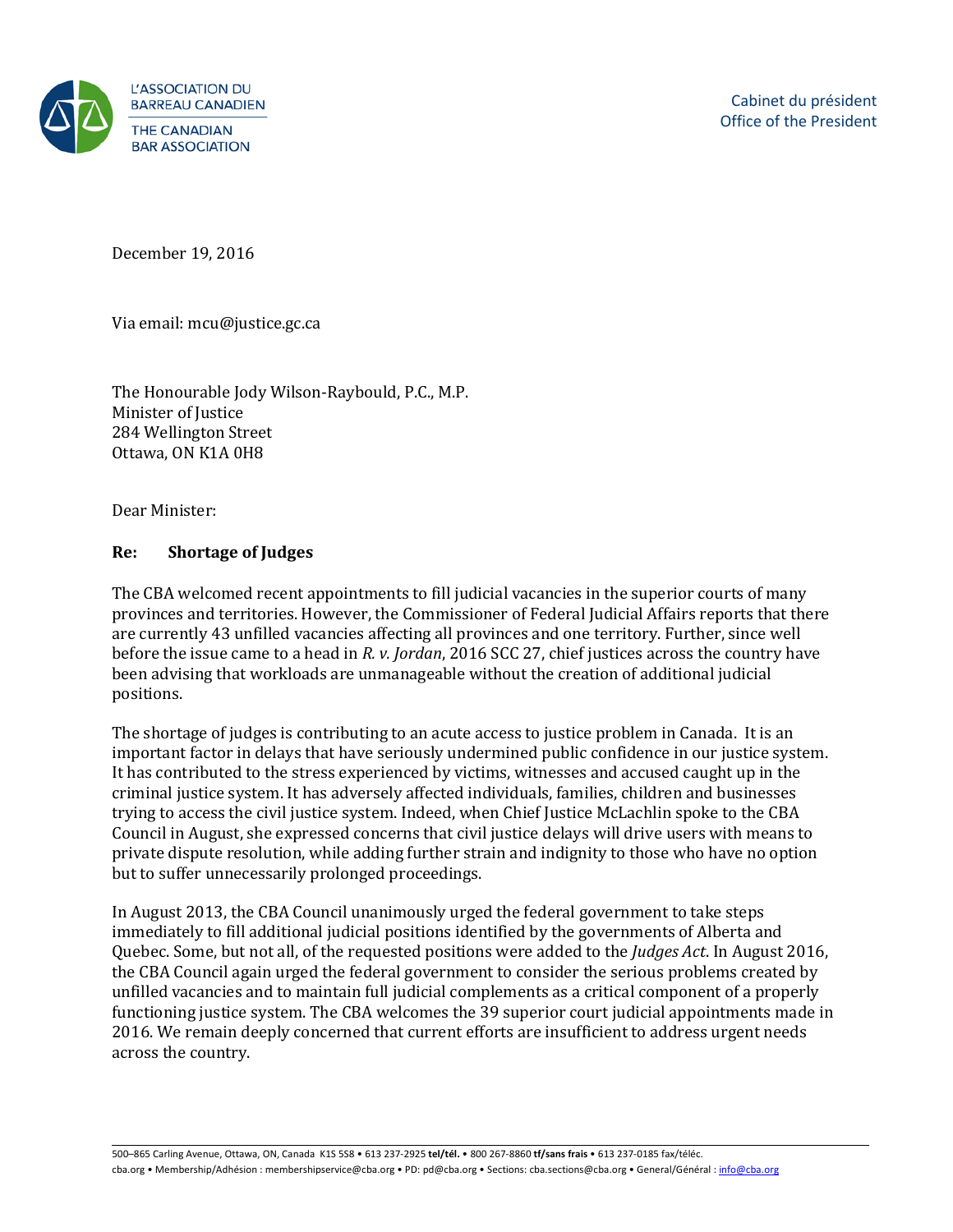

December 19, 2016

Via email: mcu@justice.gc.ca

The Honourable Jody Wilson-Raybould, P.C., M.P. Minister of Justice 284 Wellington Street Ottawa, ON K1A 0H8

Dear Minister:

## **Re: Shortage of Judges**

The CBA welcomed recent appointments to fill judicial vacancies in the superior courts of many provinces and territories. However, the Commissioner of Federal Judicial Affairs reports that there are currently 43 unfilled vacancies affecting all provinces and one territory. Further, since well before the issue came to a head in *R. v. Jordan*, 2016 SCC 27, chief justices across the country have been advising that workloads are unmanageable without the creation of additional judicial positions.

The shortage of judges is contributing to an acute access to justice problem in Canada. It is an important factor in delays that have seriously undermined public confidence in our justice system. It has contributed to the stress experienced by victims, witnesses and accused caught up in the criminal justice system. It has adversely affected individuals, families, children and businesses trying to access the civil justice system. Indeed, when Chief Justice McLachlin spoke to the CBA Council in August, she expressed concerns that civil justice delays will drive users with means to private dispute resolution, while adding further strain and indignity to those who have no option but to suffer unnecessarily prolonged proceedings.

In August 2013, the CBA Council unanimously urged the federal government to take steps immediately to fill additional judicial positions identified by the governments of Alberta and Quebec. Some, but not all, of the requested positions were added to the *Judges Act*. In August 2016, the CBA Council again urged the federal government to consider the serious problems created by unfilled vacancies and to maintain full judicial complements as a critical component of a properly functioning justice system. The CBA welcomes the 39 superior court judicial appointments made in 2016. We remain deeply concerned that current efforts are insufficient to address urgent needs across the country.